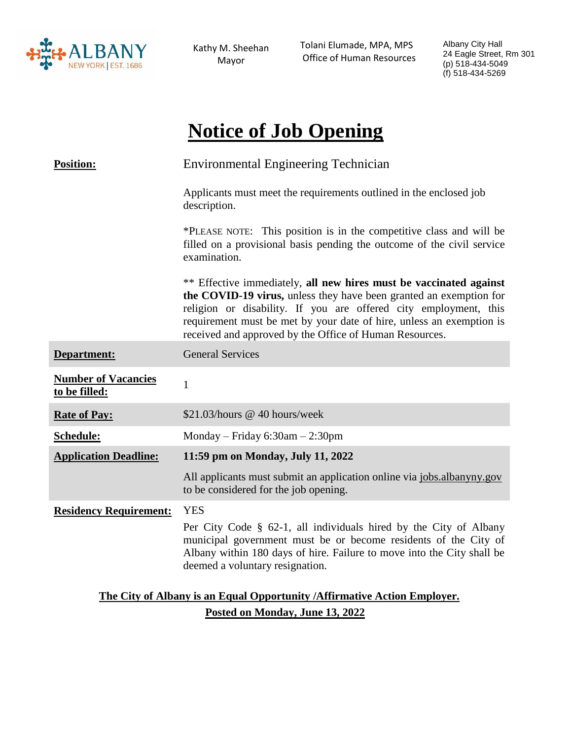

Kathy M. Sheehan Mayor

 Tolani Elumade, MPA, MPS Office of Human Resources Albany City Hall 24 Eagle Street, Rm 301 (p) 518-434-5049 (f) 518-434-5269

# **Notice of Job Opening**

| <b>Position:</b>                                                          | <b>Environmental Engineering Technician</b>                                                                                                                                                                                                                                                                                                     |
|---------------------------------------------------------------------------|-------------------------------------------------------------------------------------------------------------------------------------------------------------------------------------------------------------------------------------------------------------------------------------------------------------------------------------------------|
|                                                                           | Applicants must meet the requirements outlined in the enclosed job<br>description.                                                                                                                                                                                                                                                              |
|                                                                           | *PLEASE NOTE: This position is in the competitive class and will be<br>filled on a provisional basis pending the outcome of the civil service<br>examination.                                                                                                                                                                                   |
|                                                                           | ** Effective immediately, all new hires must be vaccinated against<br>the COVID-19 virus, unless they have been granted an exemption for<br>religion or disability. If you are offered city employment, this<br>requirement must be met by your date of hire, unless an exemption is<br>received and approved by the Office of Human Resources. |
| Department:                                                               | <b>General Services</b>                                                                                                                                                                                                                                                                                                                         |
| <b>Number of Vacancies</b><br>to be filled:                               | $\mathbf{1}$                                                                                                                                                                                                                                                                                                                                    |
| <b>Rate of Pay:</b>                                                       | \$21.03/hours @ 40 hours/week                                                                                                                                                                                                                                                                                                                   |
| Schedule:                                                                 | Monday – Friday $6:30$ am – 2:30pm                                                                                                                                                                                                                                                                                                              |
| <b>Application Deadline:</b>                                              | 11:59 pm on Monday, July 11, 2022                                                                                                                                                                                                                                                                                                               |
|                                                                           | All applicants must submit an application online via jobs.albanyny.gov<br>to be considered for the job opening.                                                                                                                                                                                                                                 |
| <b>Residency Requirement:</b>                                             | <b>YES</b>                                                                                                                                                                                                                                                                                                                                      |
|                                                                           | Per City Code § 62-1, all individuals hired by the City of Albany<br>municipal government must be or become residents of the City of<br>Albany within 180 days of hire. Failure to move into the City shall be<br>deemed a voluntary resignation.                                                                                               |
| The City of Albany is an Equal Opportunity / Affirmative Action Employer. |                                                                                                                                                                                                                                                                                                                                                 |

**Posted on Monday, June 13, 2022**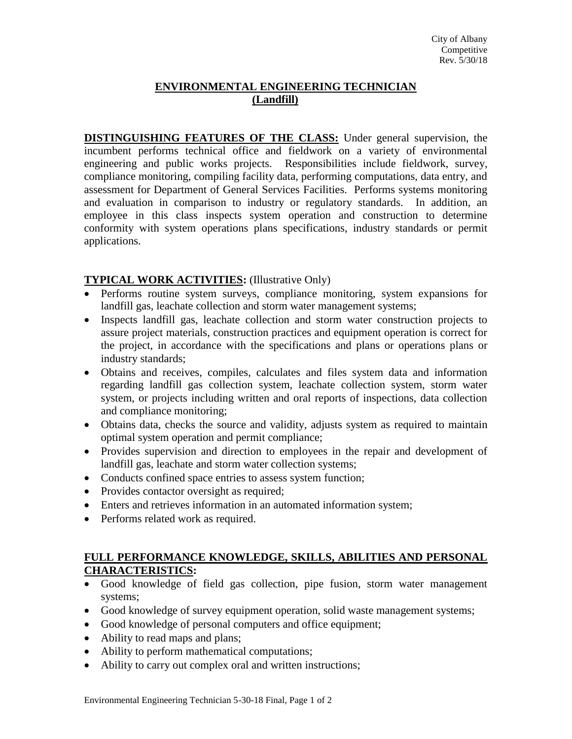## **ENVIRONMENTAL ENGINEERING TECHNICIAN (Landfill)**

**DISTINGUISHING FEATURES OF THE CLASS:** Under general supervision, the incumbent performs technical office and fieldwork on a variety of environmental engineering and public works projects. Responsibilities include fieldwork, survey, compliance monitoring, compiling facility data, performing computations, data entry, and assessment for Department of General Services Facilities. Performs systems monitoring and evaluation in comparison to industry or regulatory standards. In addition, an employee in this class inspects system operation and construction to determine conformity with system operations plans specifications, industry standards or permit applications.

## **TYPICAL WORK ACTIVITIES:** (Illustrative Only)

- Performs routine system surveys, compliance monitoring, system expansions for landfill gas, leachate collection and storm water management systems;
- Inspects landfill gas, leachate collection and storm water construction projects to assure project materials, construction practices and equipment operation is correct for the project, in accordance with the specifications and plans or operations plans or industry standards;
- Obtains and receives, compiles, calculates and files system data and information regarding landfill gas collection system, leachate collection system, storm water system, or projects including written and oral reports of inspections, data collection and compliance monitoring;
- Obtains data, checks the source and validity, adjusts system as required to maintain optimal system operation and permit compliance;
- Provides supervision and direction to employees in the repair and development of landfill gas, leachate and storm water collection systems;
- Conducts confined space entries to assess system function;
- Provides contactor oversight as required;
- Enters and retrieves information in an automated information system;
- Performs related work as required.

## **FULL PERFORMANCE KNOWLEDGE, SKILLS, ABILITIES AND PERSONAL CHARACTERISTICS:**

- Good knowledge of field gas collection, pipe fusion, storm water management systems;
- Good knowledge of survey equipment operation, solid waste management systems;
- Good knowledge of personal computers and office equipment;
- Ability to read maps and plans;
- Ability to perform mathematical computations;
- Ability to carry out complex oral and written instructions;